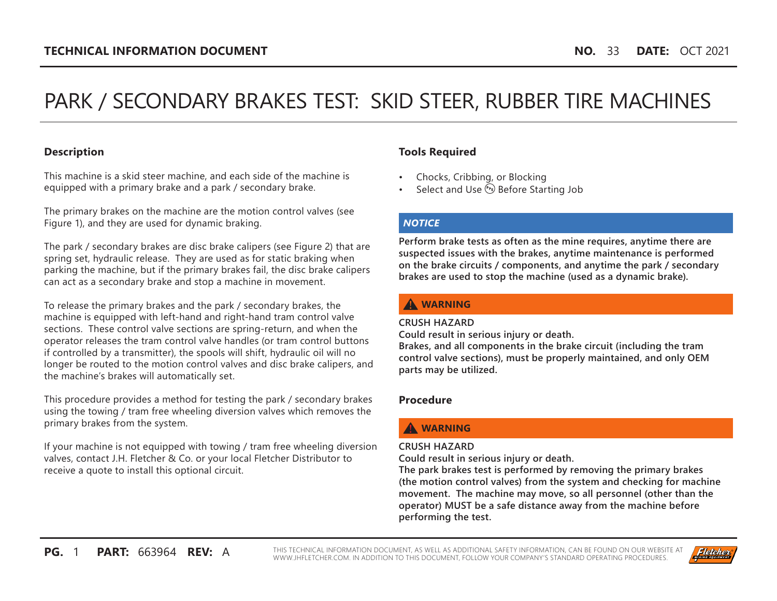# PARK / SECONDARY BRAKES TEST: SKID STEER, RUBBER TIRE MACHINES

## **Description**

This machine is a skid steer machine, and each side of the machine is equipped with a primary brake and a park / secondary brake.

The primary brakes on the machine are the motion control valves (see Figure 1), and they are used for dynamic braking.

The park / secondary brakes are disc brake calipers (see Figure 2) that are spring set, hydraulic release. They are used as for static braking when parking the machine, but if the primary brakes fail, the disc brake calipers can act as a secondary brake and stop a machine in movement.

To release the primary brakes and the park / secondary brakes, the machine is equipped with left-hand and right-hand tram control valve sections. These control valve sections are spring-return, and when the operator releases the tram control valve handles (or tram control buttons if controlled by a transmitter), the spools will shift, hydraulic oil will no longer be routed to the motion control valves and disc brake calipers, and the machine's brakes will automatically set.

This procedure provides a method for testing the park / secondary brakes using the towing / tram free wheeling diversion valves which removes the primary brakes from the system.

If your machine is not equipped with towing / tram free wheeling diversion valves, contact J.H. Fletcher & Co. or your local Fletcher Distributor to receive a quote to install this optional circuit.

## **Tools Required**

- Chocks, Cribbing, or Blocking
- Select and Use **(PE)** Before Starting Job

#### *NOTICE*

**Perform brake tests as often as the mine requires, anytime there are suspected issues with the brakes, anytime maintenance is performed on the brake circuits / components, and anytime the park / secondary brakes are used to stop the machine (used as a dynamic brake).**

## **A** WARNING

#### **CRUSH HAZARD**

**Could result in serious injury or death.**

**Brakes, and all components in the brake circuit (including the tram control valve sections), must be properly maintained, and only OEM parts may be utilized.**

#### **Procedure**

# **WARNING**

#### **CRUSH HAZARD**

**Could result in serious injury or death.**

**The park brakes test is performed by removing the primary brakes (the motion control valves) from the system and checking for machine movement. The machine may move, so all personnel (other than the operator) MUST be a safe distance away from the machine before performing the test.**

**PG.** 1 **PART:** 663964 **REV:** A THIS TECHNICAL INFORMATION DOCUMENT, AS WELL AS ADDITIONAL SAFETY INFORMATION, CAN BE FOUND ON OUR WEBSITE AT [WWW.JHFLETCHER.COM.](http://www.jhfletcher.com) IN ADDITION TO THIS DOCUMENT, FOLLOW YOUR COMPANY'S STANDARD OPERATING PROCEDURES.

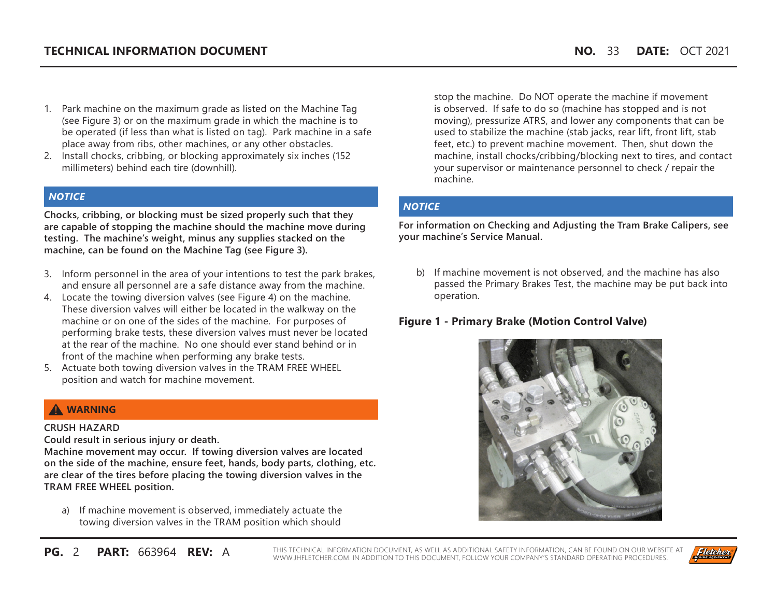- 1. Park machine on the maximum grade as listed on the Machine Tag (see Figure 3) or on the maximum grade in which the machine is to be operated (if less than what is listed on tag). Park machine in a safe place away from ribs, other machines, or any other obstacles.
- 2. Install chocks, cribbing, or blocking approximately six inches (152 millimeters) behind each tire (downhill).

### *NOTICE*

**Chocks, cribbing, or blocking must be sized properly such that they are capable of stopping the machine should the machine move during testing. The machine's weight, minus any supplies stacked on the machine, can be found on the Machine Tag (see Figure 3).**

- 3. Inform personnel in the area of your intentions to test the park brakes, and ensure all personnel are a safe distance away from the machine.
- 4. Locate the towing diversion valves (see Figure 4) on the machine. These diversion valves will either be located in the walkway on the machine or on one of the sides of the machine. For purposes of performing brake tests, these diversion valves must never be located at the rear of the machine. No one should ever stand behind or in front of the machine when performing any brake tests.
- 5. Actuate both towing diversion valves in the TRAM FREE WHEEL position and watch for machine movement.

## **A** WARNING

#### **CRUSH HAZARD**

**Could result in serious injury or death.**

**Machine movement may occur. If towing diversion valves are located on the side of the machine, ensure feet, hands, body parts, clothing, etc. are clear of the tires before placing the towing diversion valves in the TRAM FREE WHEEL position.**

a) If machine movement is observed, immediately actuate the towing diversion valves in the TRAM position which should

stop the machine. Do NOT operate the machine if movement is observed. If safe to do so (machine has stopped and is not moving), pressurize ATRS, and lower any components that can be used to stabilize the machine (stab jacks, rear lift, front lift, stab feet, etc.) to prevent machine movement. Then, shut down the machine, install chocks/cribbing/blocking next to tires, and contact your supervisor or maintenance personnel to check / repair the machine.

## *NOTICE*

**For information on Checking and Adjusting the Tram Brake Calipers, see your machine's Service Manual.**

b) If machine movement is not observed, and the machine has also passed the Primary Brakes Test, the machine may be put back into operation.

## **Figure 1 - Primary Brake (Motion Control Valve)**



**PG.** 2 **PART:** 663964 **REV:** A THIS TECHNICAL INFORMATION DOCUMENT, AS WELL AS ADDITIONAL SAFETY INFORMATION, CAN BE FOUND ON OUR WEBSITE AT [WWW.JHFLETCHER.COM.](http://www.jhfletcher.com) IN ADDITION TO THIS DOCUMENT, FOLLOW YOUR COMPANY'S STANDARD OPERATING PROCEDURES.